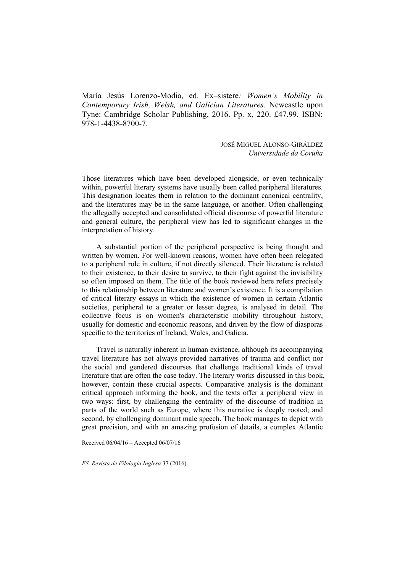María Jesús Lorenzo-Modia, ed. Ex–sistere*: Women's Mobility in Contemporary Irish, Welsh, and Galician Literatures.* Newcastle upon Tyne: Cambridge Scholar Publishing, 2016. Pp. x, 220. £47.99. ISBN: 978-1-4438-8700-7.

> JOSÉ MIGUEL ALONSO-GIRÁLDEZ *Universidade da Coruña*

Those literatures which have been developed alongside, or even technically within, powerful literary systems have usually been called peripheral literatures. This designation locates them in relation to the dominant canonical centrality, and the literatures may be in the same language, or another. Often challenging the allegedly accepted and consolidated official discourse of powerful literature and general culture, the peripheral view has led to significant changes in the interpretation of history.

A substantial portion of the peripheral perspective is being thought and written by women. For well-known reasons, women have often been relegated to a peripheral role in culture, if not directly silenced. Their literature is related to their existence, to their desire to survive, to their fight against the invisibility so often imposed on them. The title of the book reviewed here refers precisely to this relationship between literature and women's existence. It is a compilation of critical literary essays in which the existence of women in certain Atlantic societies, peripheral to a greater or lesser degree, is analysed in detail. The collective focus is on women's characteristic mobility throughout history, usually for domestic and economic reasons, and driven by the flow of diasporas specific to the territories of Ireland, Wales, and Galicia.

Travel is naturally inherent in human existence, although its accompanying travel literature has not always provided narratives of trauma and conflict nor the social and gendered discourses that challenge traditional kinds of travel literature that are often the case today. The literary works discussed in this book, however, contain these crucial aspects. Comparative analysis is the dominant critical approach informing the book, and the texts offer a peripheral view in two ways: first, by challenging the centrality of the discourse of tradition in parts of the world such as Europe, where this narrative is deeply rooted; and second, by challenging dominant male speech. The book manages to depict with great precision, and with an amazing profusion of details, a complex Atlantic

Received 06/04/16 – Accepted 06/07/16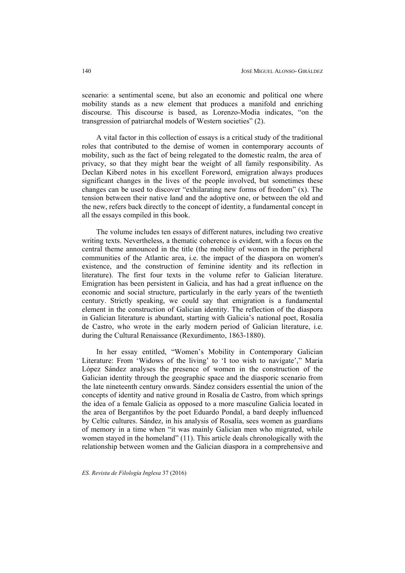scenario: a sentimental scene, but also an economic and political one where mobility stands as a new element that produces a manifold and enriching discourse. This discourse is based, as Lorenzo-Modia indicates, "on the transgression of patriarchal models of Western societies" (2).

A vital factor in this collection of essays is a critical study of the traditional roles that contributed to the demise of women in contemporary accounts of mobility, such as the fact of being relegated to the domestic realm, the area of privacy, so that they might bear the weight of all family responsibility. As Declan Kiberd notes in his excellent Foreword, emigration always produces significant changes in the lives of the people involved, but sometimes these changes can be used to discover "exhilarating new forms of freedom" (x). The tension between their native land and the adoptive one, or between the old and the new, refers back directly to the concept of identity, a fundamental concept in all the essays compiled in this book.

The volume includes ten essays of different natures, including two creative writing texts. Nevertheless, a thematic coherence is evident, with a focus on the central theme announced in the title (the mobility of women in the peripheral communities of the Atlantic area, i.e. the impact of the diaspora on women's existence, and the construction of feminine identity and its reflection in literature). The first four texts in the volume refer to Galician literature. Emigration has been persistent in Galicia, and has had a great influence on the economic and social structure, particularly in the early years of the twentieth century. Strictly speaking, we could say that emigration is a fundamental element in the construction of Galician identity. The reflection of the diaspora in Galician literature is abundant, starting with Galicia's national poet, Rosalía de Castro, who wrote in the early modern period of Galician literature, i.e. during the Cultural Renaissance (Rexurdimento, 1863-1880).

In her essay entitled, "Women's Mobility in Contemporary Galician Literature: From 'Widows of the living' to 'I too wish to navigate'," María López Sández analyses the presence of women in the construction of the Galician identity through the geographic space and the diasporic scenario from the late nineteenth century onwards. Sández considers essential the union of the concepts of identity and native ground in Rosalía de Castro, from which springs the idea of a female Galicia as opposed to a more masculine Galicia located in the area of Bergantiños by the poet Eduardo Pondal, a bard deeply influenced by Celtic cultures. Sández, in his analysis of Rosalía, sees women as guardians of memory in a time when "it was mainly Galician men who migrated, while women stayed in the homeland" (11). This article deals chronologically with the relationship between women and the Galician diaspora in a comprehensive and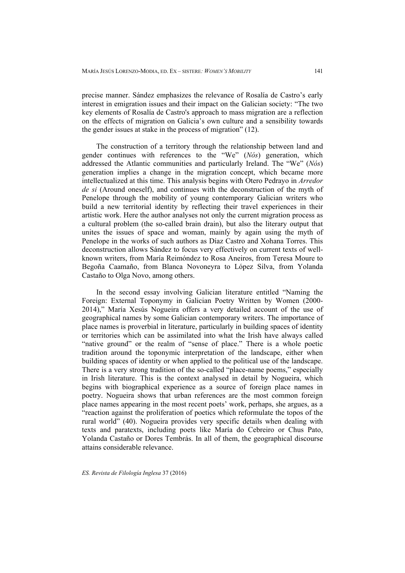precise manner. Sández emphasizes the relevance of Rosalía de Castro's early interest in emigration issues and their impact on the Galician society: "The two key elements of Rosalía de Castro's approach to mass migration are a reflection on the effects of migration on Galicia's own culture and a sensibility towards the gender issues at stake in the process of migration" (12).

The construction of a territory through the relationship between land and gender continues with references to the "We" (*Nós*) generation, which addressed the Atlantic communities and particularly Ireland. The "We" (*Nós*) generation implies a change in the migration concept, which became more intellectualized at this time. This analysis begins with Otero Pedrayo in *Arredor de si* (Around oneself), and continues with the deconstruction of the myth of Penelope through the mobility of young contemporary Galician writers who build a new territorial identity by reflecting their travel experiences in their artistic work. Here the author analyses not only the current migration process as a cultural problem (the so-called brain drain), but also the literary output that unites the issues of space and woman, mainly by again using the myth of Penelope in the works of such authors as Díaz Castro and Xohana Torres. This deconstruction allows Sández to focus very effectively on current texts of wellknown writers, from María Reimóndez to Rosa Aneiros, from Teresa Moure to Begoña Caamaño, from Blanca Novoneyra to López Silva, from Yolanda Castaño to Olga Novo, among others.

In the second essay involving Galician literature entitled "Naming the Foreign: External Toponymy in Galician Poetry Written by Women (2000- 2014)," María Xesús Nogueira offers a very detailed account of the use of geographical names by some Galician contemporary writers. The importance of place names is proverbial in literature, particularly in building spaces of identity or territories which can be assimilated into what the Irish have always called "native ground" or the realm of "sense of place." There is a whole poetic tradition around the toponymic interpretation of the landscape, either when building spaces of identity or when applied to the political use of the landscape. There is a very strong tradition of the so-called "place-name poems," especially in Irish literature. This is the context analysed in detail by Nogueira, which begins with biographical experience as a source of foreign place names in poetry. Nogueira shows that urban references are the most common foreign place names appearing in the most recent poets' work, perhaps, she argues, as a "reaction against the proliferation of poetics which reformulate the topos of the rural world" (40). Nogueira provides very specific details when dealing with texts and paratexts, including poets like María do Cebreiro or Chus Pato, Yolanda Castaño or Dores Tembrás. In all of them, the geographical discourse attains considerable relevance.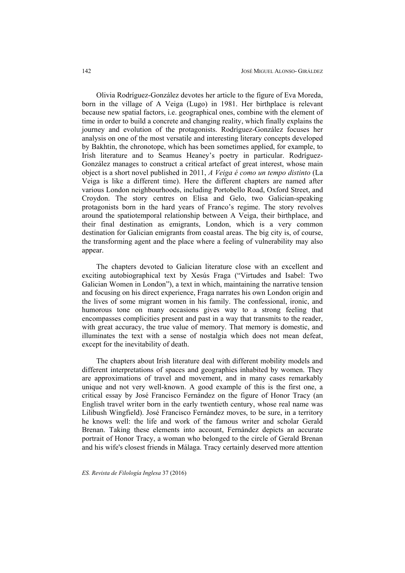Olivia Rodríguez-González devotes her article to the figure of Eva Moreda, born in the village of A Veiga (Lugo) in 1981. Her birthplace is relevant because new spatial factors, i.e. geographical ones, combine with the element of time in order to build a concrete and changing reality, which finally explains the journey and evolution of the protagonists. Rodríguez-González focuses her analysis on one of the most versatile and interesting literary concepts developed by Bakhtin, the chronotope, which has been sometimes applied, for example, to Irish literature and to Seamus Heaney's poetry in particular. Rodríguez-González manages to construct a critical artefact of great interest, whose main object is a short novel published in 2011, *A Veiga é como un tempo distinto* (La Veiga is like a different time). Here the different chapters are named after various London neighbourhoods, including Portobello Road, Oxford Street, and Croydon. The story centres on Elisa and Gelo, two Galician-speaking protagonists born in the hard years of Franco's regime. The story revolves around the spatiotemporal relationship between A Veiga, their birthplace, and their final destination as emigrants, London, which is a very common destination for Galician emigrants from coastal areas. The big city is, of course, the transforming agent and the place where a feeling of vulnerability may also appear.

The chapters devoted to Galician literature close with an excellent and exciting autobiographical text by Xesús Fraga ("Virtudes and Isabel: Two Galician Women in London"), a text in which, maintaining the narrative tension and focusing on his direct experience, Fraga narrates his own London origin and the lives of some migrant women in his family. The confessional, ironic, and humorous tone on many occasions gives way to a strong feeling that encompasses complicities present and past in a way that transmits to the reader, with great accuracy, the true value of memory. That memory is domestic, and illuminates the text with a sense of nostalgia which does not mean defeat, except for the inevitability of death.

The chapters about Irish literature deal with different mobility models and different interpretations of spaces and geographies inhabited by women. They are approximations of travel and movement, and in many cases remarkably unique and not very well-known. A good example of this is the first one, a critical essay by José Francisco Fernández on the figure of Honor Tracy (an English travel writer born in the early twentieth century, whose real name was Lilibush Wingfield). José Francisco Fernández moves, to be sure, in a territory he knows well: the life and work of the famous writer and scholar Gerald Brenan. Taking these elements into account, Fernández depicts an accurate portrait of Honor Tracy, a woman who belonged to the circle of Gerald Brenan and his wife's closest friends in Málaga. Tracy certainly deserved more attention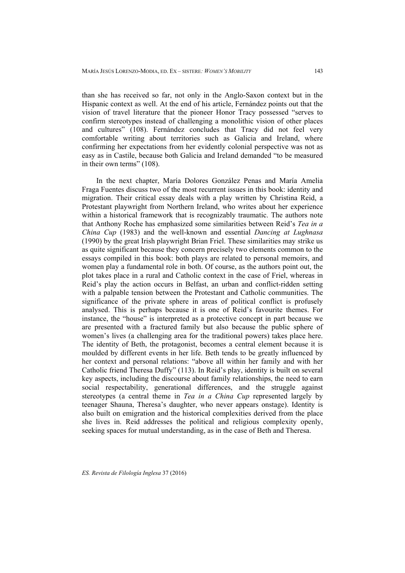than she has received so far, not only in the Anglo-Saxon context but in the Hispanic context as well. At the end of his article, Fernández points out that the vision of travel literature that the pioneer Honor Tracy possessed "serves to confirm stereotypes instead of challenging a monolithic vision of other places and cultures" (108). Fernández concludes that Tracy did not feel very comfortable writing about territories such as Galicia and Ireland, where confirming her expectations from her evidently colonial perspective was not as easy as in Castile, because both Galicia and Ireland demanded "to be measured in their own terms" (108).

In the next chapter, María Dolores González Penas and María Amelia Fraga Fuentes discuss two of the most recurrent issues in this book: identity and migration. Their critical essay deals with a play written by Christina Reid, a Protestant playwright from Northern Ireland, who writes about her experience within a historical framework that is recognizably traumatic. The authors note that Anthony Roche has emphasized some similarities between Reid's *Tea in a China Cup* (1983) and the well-known and essential *Dancing at Lughnasa* (1990) by the great Irish playwright Brian Friel. These similarities may strike us as quite significant because they concern precisely two elements common to the essays compiled in this book: both plays are related to personal memoirs, and women play a fundamental role in both. Of course, as the authors point out, the plot takes place in a rural and Catholic context in the case of Friel, whereas in Reid's play the action occurs in Belfast, an urban and conflict-ridden setting with a palpable tension between the Protestant and Catholic communities. The significance of the private sphere in areas of political conflict is profusely analysed. This is perhaps because it is one of Reid's favourite themes. For instance, the "house" is interpreted as a protective concept in part because we are presented with a fractured family but also because the public sphere of women's lives (a challenging area for the traditional powers) takes place here. The identity of Beth, the protagonist, becomes a central element because it is moulded by different events in her life. Beth tends to be greatly influenced by her context and personal relations: "above all within her family and with her Catholic friend Theresa Duffy" (113). In Reid's play, identity is built on several key aspects, including the discourse about family relationships, the need to earn social respectability, generational differences, and the struggle against stereotypes (a central theme in *Tea in a China Cup* represented largely by teenager Shauna, Theresa's daughter, who never appears onstage). Identity is also built on emigration and the historical complexities derived from the place she lives in. Reid addresses the political and religious complexity openly, seeking spaces for mutual understanding, as in the case of Beth and Theresa.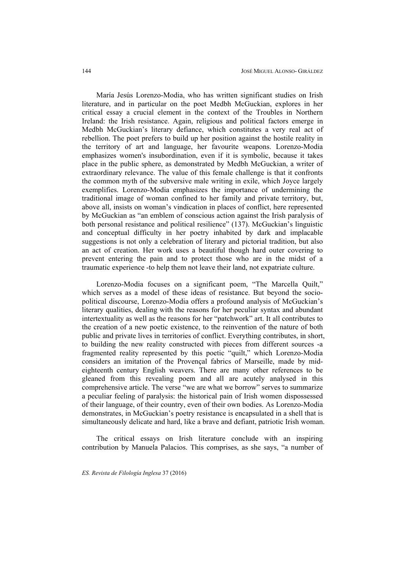María Jesús Lorenzo-Modia, who has written significant studies on Irish literature, and in particular on the poet Medbh McGuckian, explores in her critical essay a crucial element in the context of the Troubles in Northern Ireland: the Irish resistance. Again, religious and political factors emerge in Medbh McGuckian's literary defiance, which constitutes a very real act of rebellion. The poet prefers to build up her position against the hostile reality in the territory of art and language, her favourite weapons. Lorenzo-Modia emphasizes women's insubordination, even if it is symbolic, because it takes place in the public sphere, as demonstrated by Medbh McGuckian, a writer of extraordinary relevance. The value of this female challenge is that it confronts the common myth of the subversive male writing in exile, which Joyce largely exemplifies. Lorenzo-Modia emphasizes the importance of undermining the traditional image of woman confined to her family and private territory, but, above all, insists on woman's vindication in places of conflict, here represented by McGuckian as "an emblem of conscious action against the Irish paralysis of both personal resistance and political resilience" (137). McGuckian's linguistic and conceptual difficulty in her poetry inhabited by dark and implacable suggestions is not only a celebration of literary and pictorial tradition, but also an act of creation. Her work uses a beautiful though hard outer covering to prevent entering the pain and to protect those who are in the midst of a traumatic experience -to help them not leave their land, not expatriate culture.

Lorenzo-Modia focuses on a significant poem, "The Marcella Quilt," which serves as a model of these ideas of resistance. But beyond the sociopolitical discourse, Lorenzo-Modia offers a profound analysis of McGuckian's literary qualities, dealing with the reasons for her peculiar syntax and abundant intertextuality as well as the reasons for her "patchwork" art. It all contributes to the creation of a new poetic existence, to the reinvention of the nature of both public and private lives in territories of conflict. Everything contributes, in short, to building the new reality constructed with pieces from different sources -a fragmented reality represented by this poetic "quilt," which Lorenzo-Modia considers an imitation of the Provençal fabrics of Marseille, made by mideighteenth century English weavers. There are many other references to be gleaned from this revealing poem and all are acutely analysed in this comprehensive article. The verse "we are what we borrow" serves to summarize a peculiar feeling of paralysis: the historical pain of Irish women dispossessed of their language, of their country, even of their own bodies. As Lorenzo-Modia demonstrates, in McGuckian's poetry resistance is encapsulated in a shell that is simultaneously delicate and hard, like a brave and defiant, patriotic Irish woman.

The critical essays on Irish literature conclude with an inspiring contribution by Manuela Palacios. This comprises, as she says, "a number of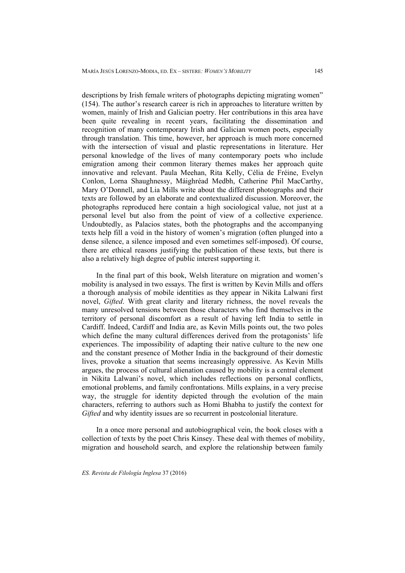descriptions by Irish female writers of photographs depicting migrating women" (154). The author's research career is rich in approaches to literature written by women, mainly of Irish and Galician poetry. Her contributions in this area have been quite revealing in recent years, facilitating the dissemination and recognition of many contemporary Irish and Galician women poets, especially through translation. This time, however, her approach is much more concerned with the intersection of visual and plastic representations in literature. Her personal knowledge of the lives of many contemporary poets who include emigration among their common literary themes makes her approach quite innovative and relevant. Paula Meehan, Rita Kelly, Célia de Fréine, Evelyn Conlon, Lorna Shaughnessy, Máighréad Medbh, Catherine Phil MacCarthy, Mary O'Donnell, and Lia Mills write about the different photographs and their texts are followed by an elaborate and contextualized discussion. Moreover, the photographs reproduced here contain a high sociological value, not just at a personal level but also from the point of view of a collective experience. Undoubtedly, as Palacios states, both the photographs and the accompanying texts help fill a void in the history of women's migration (often plunged into a dense silence, a silence imposed and even sometimes self-imposed). Of course, there are ethical reasons justifying the publication of these texts, but there is also a relatively high degree of public interest supporting it.

In the final part of this book, Welsh literature on migration and women's mobility is analysed in two essays. The first is written by Kevin Mills and offers a thorough analysis of mobile identities as they appear in Nikita Lalwani first novel, *Gifted*. With great clarity and literary richness, the novel reveals the many unresolved tensions between those characters who find themselves in the territory of personal discomfort as a result of having left India to settle in Cardiff. Indeed, Cardiff and India are, as Kevin Mills points out, the two poles which define the many cultural differences derived from the protagonists' life experiences. The impossibility of adapting their native culture to the new one and the constant presence of Mother India in the background of their domestic lives, provoke a situation that seems increasingly oppressive. As Kevin Mills argues, the process of cultural alienation caused by mobility is a central element in Nikita Lalwani's novel, which includes reflections on personal conflicts, emotional problems, and family confrontations. Mills explains, in a very precise way, the struggle for identity depicted through the evolution of the main characters, referring to authors such as Homi Bhabha to justify the context for *Gifted* and why identity issues are so recurrent in postcolonial literature.

In a once more personal and autobiographical vein, the book closes with a collection of texts by the poet Chris Kinsey. These deal with themes of mobility, migration and household search, and explore the relationship between family